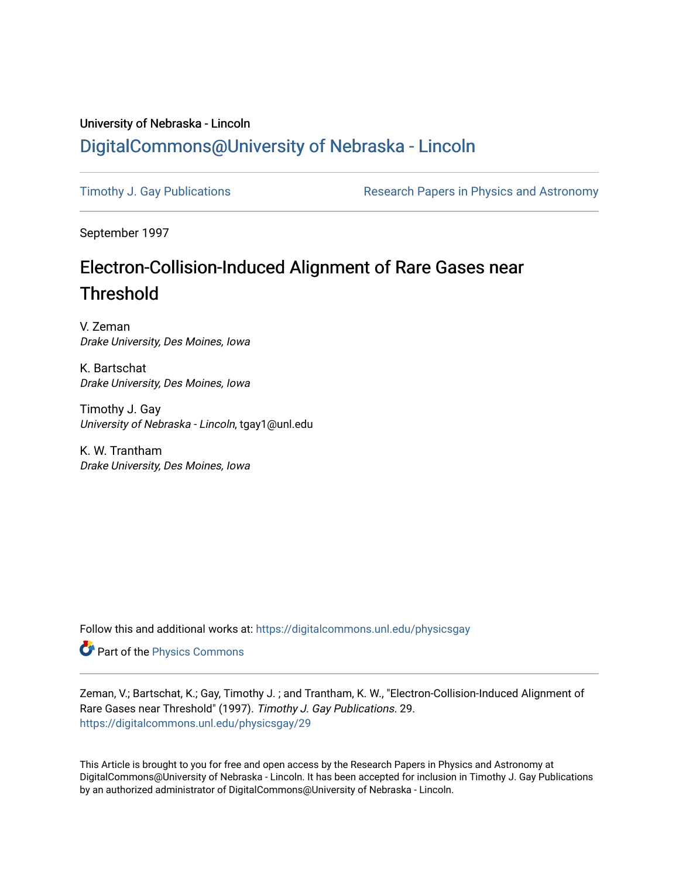## University of Nebraska - Lincoln [DigitalCommons@University of Nebraska - Lincoln](https://digitalcommons.unl.edu/)

[Timothy J. Gay Publications](https://digitalcommons.unl.edu/physicsgay) **Research Papers in Physics and Astronomy** 

September 1997

## Electron-Collision-Induced Alignment of Rare Gases near Threshold

V. Zeman Drake University, Des Moines, Iowa

K. Bartschat Drake University, Des Moines, Iowa

Timothy J. Gay University of Nebraska - Lincoln, tgay1@unl.edu

K. W. Trantham Drake University, Des Moines, Iowa

Follow this and additional works at: [https://digitalcommons.unl.edu/physicsgay](https://digitalcommons.unl.edu/physicsgay?utm_source=digitalcommons.unl.edu%2Fphysicsgay%2F29&utm_medium=PDF&utm_campaign=PDFCoverPages)

Part of the [Physics Commons](http://network.bepress.com/hgg/discipline/193?utm_source=digitalcommons.unl.edu%2Fphysicsgay%2F29&utm_medium=PDF&utm_campaign=PDFCoverPages)

Zeman, V.; Bartschat, K.; Gay, Timothy J. ; and Trantham, K. W., "Electron-Collision-Induced Alignment of Rare Gases near Threshold" (1997). Timothy J. Gay Publications. 29. [https://digitalcommons.unl.edu/physicsgay/29](https://digitalcommons.unl.edu/physicsgay/29?utm_source=digitalcommons.unl.edu%2Fphysicsgay%2F29&utm_medium=PDF&utm_campaign=PDFCoverPages) 

This Article is brought to you for free and open access by the Research Papers in Physics and Astronomy at DigitalCommons@University of Nebraska - Lincoln. It has been accepted for inclusion in Timothy J. Gay Publications by an authorized administrator of DigitalCommons@University of Nebraska - Lincoln.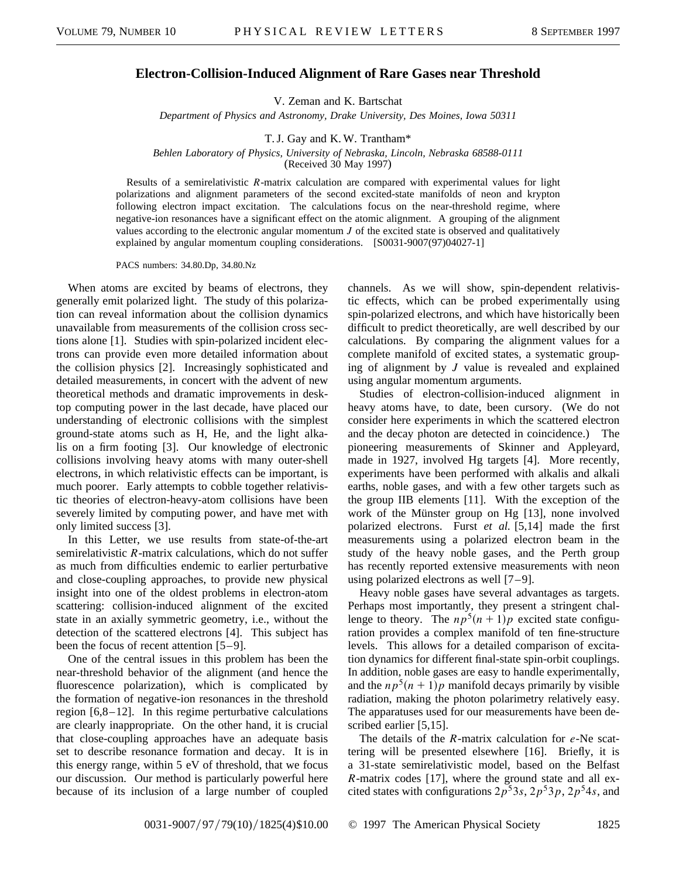## **Electron-Collision-Induced Alignment of Rare Gases near Threshold**

V. Zeman and K. Bartschat

*Department of Physics and Astronomy, Drake University, Des Moines, Iowa 50311*

T. J. Gay and K. W. Trantham\*

*Behlen Laboratory of Physics, University of Nebraska, Lincoln, Nebraska 68588-0111*

(Received 30 May 1997)

Results of a semirelativistic *R*-matrix calculation are compared with experimental values for light polarizations and alignment parameters of the second excited-state manifolds of neon and krypton following electron impact excitation. The calculations focus on the near-threshold regime, where negative-ion resonances have a significant effect on the atomic alignment. A grouping of the alignment values according to the electronic angular momentum *J* of the excited state is observed and qualitatively explained by angular momentum coupling considerations. [S0031-9007(97)04027-1]

PACS numbers: 34.80.Dp, 34.80.Nz

When atoms are excited by beams of electrons, they generally emit polarized light. The study of this polarization can reveal information about the collision dynamics unavailable from measurements of the collision cross sections alone [1]. Studies with spin-polarized incident electrons can provide even more detailed information about the collision physics [2]. Increasingly sophisticated and detailed measurements, in concert with the advent of new theoretical methods and dramatic improvements in desktop computing power in the last decade, have placed our understanding of electronic collisions with the simplest ground-state atoms such as H, He, and the light alkalis on a firm footing [3]. Our knowledge of electronic collisions involving heavy atoms with many outer-shell electrons, in which relativistic effects can be important, is much poorer. Early attempts to cobble together relativistic theories of electron-heavy-atom collisions have been severely limited by computing power, and have met with only limited success [3].

In this Letter, we use results from state-of-the-art semirelativistic *R*-matrix calculations, which do not suffer as much from difficulties endemic to earlier perturbative and close-coupling approaches, to provide new physical insight into one of the oldest problems in electron-atom scattering: collision-induced alignment of the excited state in an axially symmetric geometry, i.e., without the detection of the scattered electrons [4]. This subject has been the focus of recent attention [5–9].

One of the central issues in this problem has been the near-threshold behavior of the alignment (and hence the fluorescence polarization), which is complicated by the formation of negative-ion resonances in the threshold region [6,8–12]. In this regime perturbative calculations are clearly inappropriate. On the other hand, it is crucial that close-coupling approaches have an adequate basis set to describe resonance formation and decay. It is in this energy range, within 5 eV of threshold, that we focus our discussion. Our method is particularly powerful here because of its inclusion of a large number of coupled channels. As we will show, spin-dependent relativistic effects, which can be probed experimentally using spin-polarized electrons, and which have historically been difficult to predict theoretically, are well described by our calculations. By comparing the alignment values for a complete manifold of excited states, a systematic grouping of alignment by *J* value is revealed and explained using angular momentum arguments.

Studies of electron-collision-induced alignment in heavy atoms have, to date, been cursory. (We do not consider here experiments in which the scattered electron and the decay photon are detected in coincidence.) The pioneering measurements of Skinner and Appleyard, made in 1927, involved Hg targets [4]. More recently, experiments have been performed with alkalis and alkali earths, noble gases, and with a few other targets such as the group IIB elements [11]. With the exception of the work of the Münster group on Hg [13], none involved polarized electrons. Furst *et al.* [5,14] made the first measurements using a polarized electron beam in the study of the heavy noble gases, and the Perth group has recently reported extensive measurements with neon using polarized electrons as well [7–9].

Heavy noble gases have several advantages as targets. Perhaps most importantly, they present a stringent challenge to theory. The  $np^5(n+1)p$  excited state configuration provides a complex manifold of ten fine-structure levels. This allows for a detailed comparison of excitation dynamics for different final-state spin-orbit couplings. In addition, noble gases are easy to handle experimentally, and the  $np^5(n + 1)p$  manifold decays primarily by visible radiation, making the photon polarimetry relatively easy. The apparatuses used for our measurements have been described earlier [5,15].

The details of the *R*-matrix calculation for *e*-Ne scattering will be presented elsewhere [16]. Briefly, it is a 31-state semirelativistic model, based on the Belfast *R*-matrix codes [17], where the ground state and all excited states with configurations  $2p^53s$ ,  $2p^53p$ ,  $2p^54s$ , and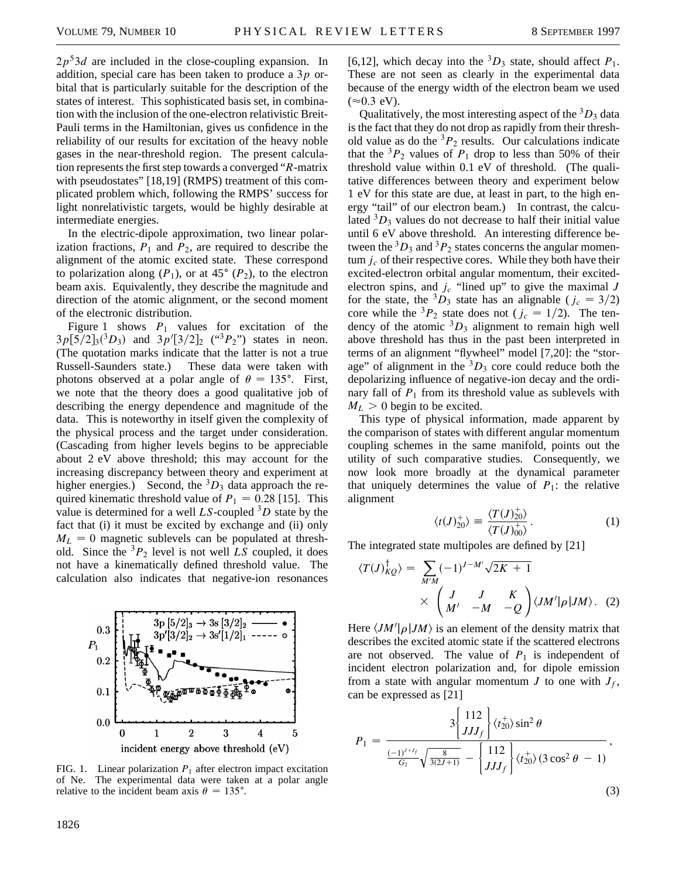$2p<sup>5</sup>3d$  are included in the close-coupling expansion. In addition, special care has been taken to produce a 3*p* orbital that is particularly suitable for the description of the states of interest. This sophisticated basis set, in combination with the inclusion of the one-electron relativistic Breit-Pauli terms in the Hamiltonian, gives us confidence in the reliability of our results for excitation of the heavy noble gases in the near-threshold region. The present calculation represents the first step towards a converged "*R*-matrix with pseudostates" [18,19] (RMPS) treatment of this complicated problem which, following the RMPS' success for light nonrelativistic targets, would be highly desirable at intermediate energies.

In the electric-dipole approximation, two linear polarization fractions,  $P_1$  and  $P_2$ , are required to describe the alignment of the atomic excited state. These correspond to polarization along  $(P_1)$ , or at 45 $\degree$  ( $P_2$ ), to the electron beam axis. Equivalently, they describe the magnitude and direction of the atomic alignment, or the second moment of the electronic distribution.

Figure 1 shows  $P_1$  values for excitation of the  $3p[5/2]_3(^3D_3)$  and  $3p'[3/2]_2$  (" $^3P_2$ ") states in neon. (The quotation marks indicate that the latter is not a true Russell-Saunders state.) These data were taken with photons observed at a polar angle of  $\theta = 135^{\circ}$ . First, we note that the theory does a good qualitative job of describing the energy dependence and magnitude of the data. This is noteworthy in itself given the complexity of the physical process and the target under consideration. (Cascading from higher levels begins to be appreciable about 2 eV above threshold; this may account for the increasing discrepancy between theory and experiment at higher energies.) Second, the  ${}^{3}D_3$  data approach the required kinematic threshold value of  $P_1 = 0.28$  [15]. This value is determined for a well  $LS$ -coupled  ${}^{3}D$  state by the fact that (i) it must be excited by exchange and (ii) only  $M_L = 0$  magnetic sublevels can be populated at threshold. Since the  ${}^{3}P_{2}$  level is not well *LS* coupled, it does not have a kinematically defined threshold value. The calculation also indicates that negative-ion resonances



FIG. 1. Linear polarization  $P_1$  after electron impact excitation of Ne. The experimental data were taken at a polar angle relative to the incident beam axis  $\theta = 135^{\circ}$ .

[6,12], which decay into the <sup>3</sup> $D_3$  state, should affect  $P_1$ . These are not seen as clearly in the experimental data because of the energy width of the electron beam we used  $(\approx 0.3$  eV).

Qualitatively, the most interesting aspect of the  ${}^{3}D_3$  data is the fact that they do not drop as rapidly from their threshold value as do the  ${}^{3}P_{2}$  results. Our calculations indicate that the  ${}^{3}P_{2}$  values of  $P_{1}$  drop to less than 50% of their threshold value within 0.1 eV of threshold. (The qualitative differences between theory and experiment below 1 eV for this state are due, at least in part, to the high energy "tail" of our electron beam.) In contrast, the calculated  ${}^{3}D_3$  values do not decrease to half their initial value until 6 eV above threshold. An interesting difference between the  ${}^3D_3$  and  ${}^3P_2$  states concerns the angular momentum  $j_c$  of their respective cores. While they both have their excited-electron orbital angular momentum, their excitedelectron spins, and  $j_c$  "lined up" to give the maximal  $J$ for the state, the <sup>3</sup>D<sub>3</sub> state has an alignable ( $j_c = 3/2$ ) core while the <sup>3</sup> $P_2$  state does not ( $j_c = 1/2$ ). The tendency of the atomic  ${}^{3}D_3$  alignment to remain high well above threshold has thus in the past been interpreted in terms of an alignment "flywheel" model [7,20]: the "storage" of alignment in the  ${}^{3}D_3$  core could reduce both the depolarizing influence of negative-ion decay and the ordinary fall of  $P_1$  from its threshold value as sublevels with  $M_L > 0$  begin to be excited.

This type of physical information, made apparent by the comparison of states with different angular momentum coupling schemes in the same manifold, points out the utility of such comparative studies. Consequently, we now look more broadly at the dynamical parameter that uniquely determines the value of  $P_1$ : the relative alignment

$$
\langle t(J)_{20}^+ \rangle \equiv \frac{\langle T(J)_{20}^+ \rangle}{\langle T(J)_{00}^+ \rangle}.
$$
 (1)

The integrated state multipoles are defined by [21]

$$
\langle T(J)_{KQ}^{\dagger} \rangle = \sum_{M'M} (-1)^{J-M'} \sqrt{2K+1}
$$
  
 
$$
\times \begin{pmatrix} J & K \\ M' & -M & -Q \end{pmatrix} \langle JM' | \rho | JM \rangle. (2)
$$

Here  $\langle JM' | \rho | JM \rangle$  is an element of the density matrix that describes the excited atomic state if the scattered electrons are not observed. The value of  $P_1$  is independent of incident electron polarization and, for dipole emission from a state with angular momentum *J* to one with  $J_f$ , can be expressed as [21]

$$
P_{1} = \frac{3\left\{\frac{112}{JJJ_{f}}\right\} \langle t_{20}^{+} \rangle \sin^{2} \theta}{\frac{(-1)^{J+J_{f}}}{G_{2}} \sqrt{\frac{8}{3(2J+1)}} - \left\{\frac{112}{JJJ_{f}}\right\} \langle t_{20}^{+} \rangle (3 \cos^{2} \theta - 1)},
$$
\n(3)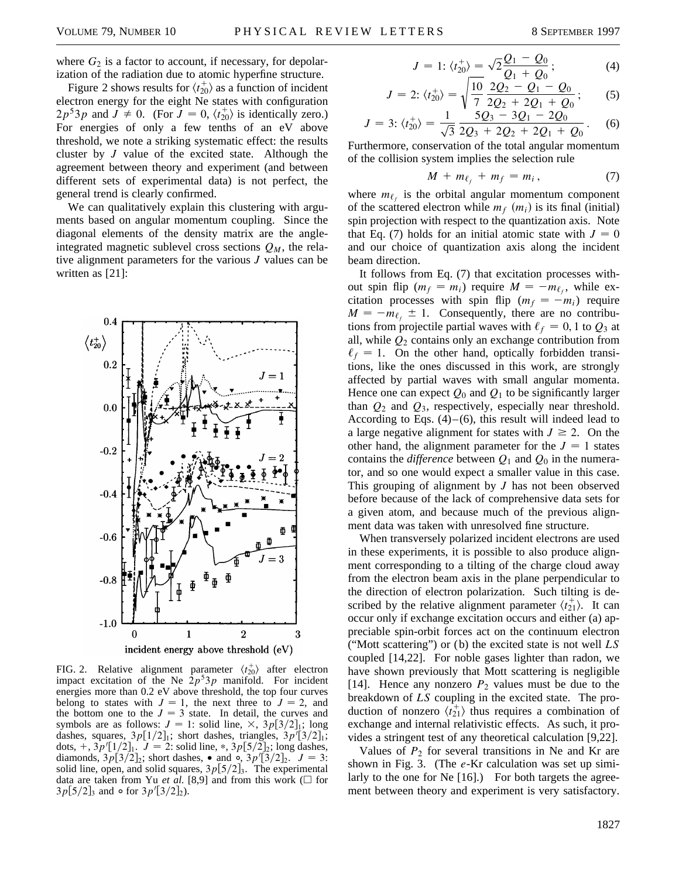where  $G_2$  is a factor to account, if necessary, for depolarization of the radiation due to atomic hyperfine structure.

Figure 2 shows results for  $\langle t_{20}^+ \rangle$  as a function of incident electron energy for the eight Ne states with configuration  $2p^53p$  and  $J \neq 0$ . (For  $J = 0, \langle t_{20}^+ \rangle$  is identically zero.) For energies of only a few tenths of an eV above threshold, we note a striking systematic effect: the results cluster by *J* value of the excited state. Although the agreement between theory and experiment (and between different sets of experimental data) is not perfect, the general trend is clearly confirmed.

We can qualitatively explain this clustering with arguments based on angular momentum coupling. Since the diagonal elements of the density matrix are the angleintegrated magnetic sublevel cross sections  $Q_M$ , the relative alignment parameters for the various *J* values can be written as [21]:



FIG. 2. Relative alignment parameter  $\langle t_{20}^+ \rangle$  after electron impact excitation of the Ne  $2p^33p$  manifold. For incident energies more than 0.2 eV above threshold, the top four curves belong to states with  $J = 1$ , the next three to  $J = 2$ , and the bottom one to the  $J = 3$  state. In detail, the curves and symbols are as follows:  $J = 1$ : solid line,  $\times$ ,  $3p[3/2]_1$ ; long dashes, squares,  $3p[1/2]_1$ ; short dashes, triangles,  $3p^7[3/2]_1$ ; dots,  $+, 3p'[1/2]_1$ .  $J = 2$ : solid line,  $*, 3p[5/2]_2$ ; long dashes, diamonds,  $3p[3/2]_2$ ; short dashes, • and  $\frac{1}{2}$ ,  $3p'[3/2]_2$ .  $J = 3$ : solid line, open, and solid squares,  $3p[5/2]_3$ . The experimental data are taken from Yu *et al.* [8,9] and from this work ( $\square$  for  $3p[5/2]_3$  and  $\circ$  for  $3p'[3/2]_2$ ).

$$
J = 1: \langle t_{20}^+ \rangle = \sqrt{2} \frac{Q_1 - Q_0}{Q_1 + Q_0}; \tag{4}
$$

$$
J = 2; \langle t_{20}^+ \rangle = \sqrt{\frac{10}{7} \frac{2Q_2 - Q_1 - Q_0}{2Q_2 + 2Q_1 + Q_0}}; \qquad (5)
$$

$$
J = 3; \langle t_{20}^+ \rangle = \frac{1}{\sqrt{3}} \frac{5Q_3 - 3Q_1 - 2Q_0}{2Q_3 + 2Q_2 + 2Q_1 + Q_0}.
$$
 (6)

Furthermore, conservation of the total angular momentum of the collision system implies the selection rule

$$
M + m_{\ell_f} + m_f = m_i, \qquad (7)
$$

where  $m_{\ell_f}$  is the orbital angular momentum component of the scattered electron while  $m_f$   $(m_i)$  is its final (initial) spin projection with respect to the quantization axis. Note that Eq. (7) holds for an initial atomic state with  $J = 0$ and our choice of quantization axis along the incident beam direction.

It follows from Eq. (7) that excitation processes without spin flip ( $m_f = m_i$ ) require  $M = -m_f$ , while excitation processes with spin flip  $(m_f = -m_i)$  require  $M = -m_{\ell_f} \pm 1$ . Consequently, there are no contributions from projectile partial waves with  $\ell_f = 0, 1$  to  $Q_3$  at all, while *Q*<sup>2</sup> contains only an exchange contribution from  $\ell_f = 1$ . On the other hand, optically forbidden transitions, like the ones discussed in this work, are strongly affected by partial waves with small angular momenta. Hence one can expect  $Q_0$  and  $Q_1$  to be significantly larger than *Q*<sup>2</sup> and *Q*3, respectively, especially near threshold. According to Eqs.  $(4)$ – $(6)$ , this result will indeed lead to a large negative alignment for states with  $J \ge 2$ . On the other hand, the alignment parameter for the  $J = 1$  states contains the *difference* between  $Q_1$  and  $Q_0$  in the numerator, and so one would expect a smaller value in this case. This grouping of alignment by *J* has not been observed before because of the lack of comprehensive data sets for a given atom, and because much of the previous alignment data was taken with unresolved fine structure.

When transversely polarized incident electrons are used in these experiments, it is possible to also produce alignment corresponding to a tilting of the charge cloud away from the electron beam axis in the plane perpendicular to the direction of electron polarization. Such tilting is described by the relative alignment parameter  $\langle t_{21}^{\dagger} \rangle$ . It can occur only if exchange excitation occurs and either (a) appreciable spin-orbit forces act on the continuum electron ("Mott scattering") or (b) the excited state is not well *LS* coupled [14,22]. For noble gases lighter than radon, we have shown previously that Mott scattering is negligible [14]. Hence any nonzero  $P_2$  values must be due to the breakdown of *LS* coupling in the excited state. The production of nonzero  $\langle t_{21}^+ \rangle$  thus requires a combination of exchange and internal relativistic effects. As such, it provides a stringent test of any theoretical calculation [9,22].

Values of  $P_2$  for several transitions in Ne and Kr are shown in Fig. 3. (The *e*-Kr calculation was set up similarly to the one for Ne [16].) For both targets the agreement between theory and experiment is very satisfactory.